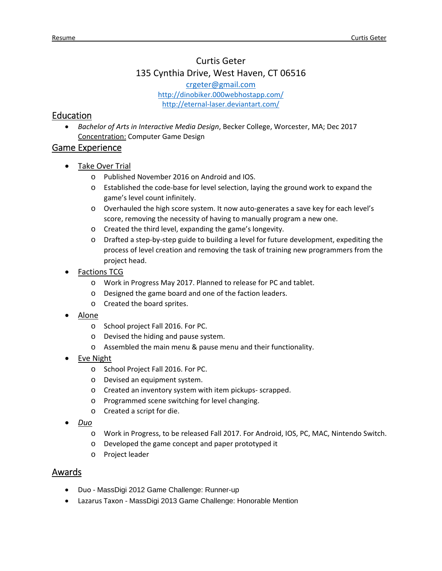# Curtis Geter 135 Cynthia Drive, West Haven, CT 06516

crgeter@gmail.com

http://dinobiker.000webhostapp.com/ http://eternal‐laser.deviantart.com/

## Education

 *Bachelor of Arts in Interactive Media Design*, Becker College, Worcester, MA; Dec 2017 Concentration: Computer Game Design

## Game Experience

- Take Over Trial
	- o Published November 2016 on Android and IOS.
	- o Established the code‐base for level selection, laying the ground work to expand the game's level count infinitely.
	- o Overhauled the high score system. It now auto‐generates a save key for each level's score, removing the necessity of having to manually program a new one.
	- o Created the third level, expanding the game's longevity.
	- o Drafted a step‐by‐step guide to building a level for future development, expediting the process of level creation and removing the task of training new programmers from the project head.
- Factions TCG
	- o Work in Progress May 2017. Planned to release for PC and tablet.
	- o Designed the game board and one of the faction leaders.
	- o Created the board sprites.
- Alone
	- o School project Fall 2016. For PC.
	- o Devised the hiding and pause system.
	- o Assembled the main menu & pause menu and their functionality.
- Eve Night
	- o School Project Fall 2016. For PC.
	- o Devised an equipment system.
	- o Created an inventory system with item pickups‐ scrapped.
	- o Programmed scene switching for level changing.
	- o Created a script for die.
- *Duo*
	- o Work in Progress, to be released Fall 2017. For Android, IOS, PC, MAC, Nintendo Switch.
	- o Developed the game concept and paper prototyped it
	- o Project leader

### Awards

- Duo ‐ MassDigi 2012 Game Challenge: Runner-up
- Lazarus Taxon ‐ MassDigi 2013 Game Challenge: Honorable Mention